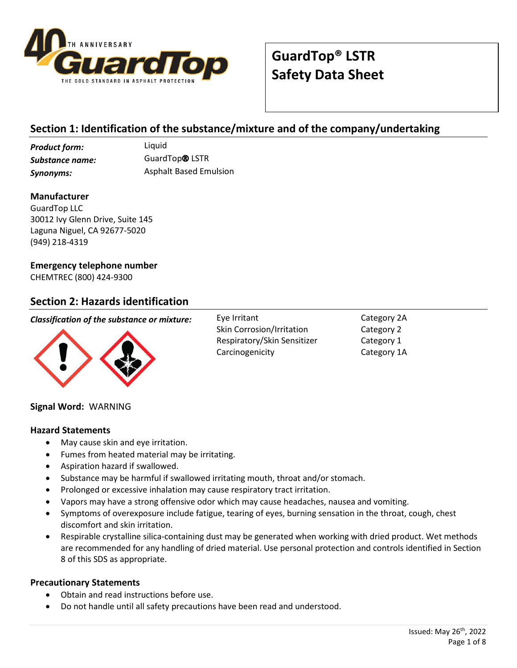

## **Section 1: Identification of the substance/mixture and of the company/undertaking**

*Product form:* Liquid *Substance name:* GuardTop® LSTR **Synonyms:** Asphalt Based Emulsion

**Manufacturer**

GuardTop LLC 30012 Ivy Glenn Drive, Suite 145 Laguna Niguel, CA 92677-5020 (949) 218-4319

#### **Emergency telephone number**

CHEMTREC (800) 424-9300

#### **Section 2: Hazards identification**

#### *Classification of the substance or mixture:* Eye Irritant



Skin Corrosion/Irritation Respiratory/Skin Sensitizer Carcinogenicity

Category 2A Category 2 Category 1 Category 1A

#### **Signal Word:** WARNING

#### **Hazard Statements**

- May cause skin and eye irritation.
- Fumes from heated material may be irritating.
- Aspiration hazard if swallowed.
- Substance may be harmful if swallowed irritating mouth, throat and/or stomach.
- Prolonged or excessive inhalation may cause respiratory tract irritation.
- Vapors may have a strong offensive odor which may cause headaches, nausea and vomiting.
- Symptoms of overexposure include fatigue, tearing of eyes, burning sensation in the throat, cough, chest discomfort and skin irritation.
- Respirable crystalline silica-containing dust may be generated when working with dried product. Wet methods are recommended for any handling of dried material. Use personal protection and controls identified in Section 8 of this SDS as appropriate.

#### **Precautionary Statements**

- Obtain and read instructions before use.
- Do not handle until all safety precautions have been read and understood.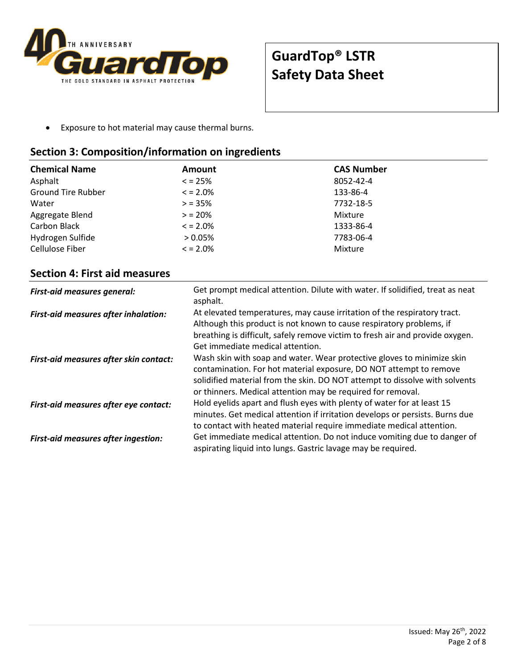

• Exposure to hot material may cause thermal burns.

## **Section 3: Composition/information on ingredients**

| <b>Chemical Name</b>      | <b>Amount</b> | <b>CAS Number</b> |
|---------------------------|---------------|-------------------|
| Asphalt                   | $\leq$ = 25%  | 8052-42-4         |
| <b>Ground Tire Rubber</b> | $\leq$ = 2.0% | 133-86-4          |
| Water                     | $> 35\%$      | 7732-18-5         |
| Aggregate Blend           | $> 20\%$      | Mixture           |
| Carbon Black              | $\leq$ = 2.0% | 1333-86-4         |
| Hydrogen Sulfide          | $> 0.05\%$    | 7783-06-4         |
| Cellulose Fiber           | $\leq$ = 2.0% | Mixture           |

### **Section 4: First aid measures**

| <b>First-aid measures general:</b>         | Get prompt medical attention. Dilute with water. If solidified, treat as neat<br>asphalt.                                                                                                                                                                                                  |
|--------------------------------------------|--------------------------------------------------------------------------------------------------------------------------------------------------------------------------------------------------------------------------------------------------------------------------------------------|
| First-aid measures after inhalation:       | At elevated temperatures, may cause irritation of the respiratory tract.<br>Although this product is not known to cause respiratory problems, if<br>breathing is difficult, safely remove victim to fresh air and provide oxygen.<br>Get immediate medical attention.                      |
| First-aid measures after skin contact:     | Wash skin with soap and water. Wear protective gloves to minimize skin<br>contamination. For hot material exposure, DO NOT attempt to remove<br>solidified material from the skin. DO NOT attempt to dissolve with solvents<br>or thinners. Medical attention may be required for removal. |
| First-aid measures after eye contact:      | Hold eyelids apart and flush eyes with plenty of water for at least 15<br>minutes. Get medical attention if irritation develops or persists. Burns due<br>to contact with heated material require immediate medical attention.                                                             |
| <b>First-aid measures after ingestion:</b> | Get immediate medical attention. Do not induce vomiting due to danger of<br>aspirating liquid into lungs. Gastric lavage may be required.                                                                                                                                                  |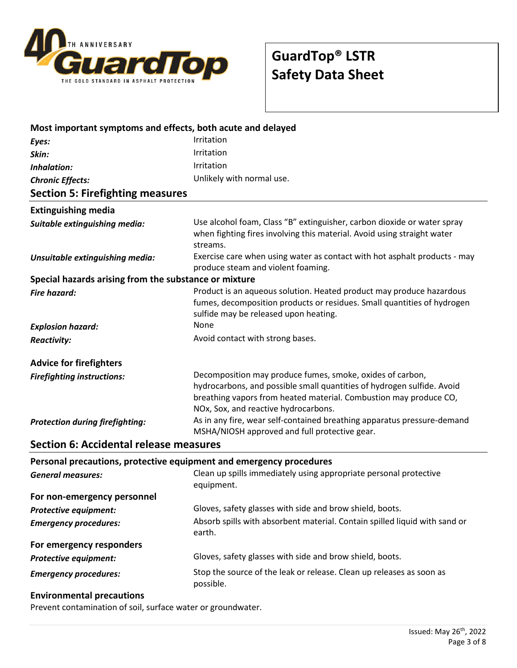

| Most important symptoms and effects, both acute and delayed         |                                                                                                                                                                                                                                                  |
|---------------------------------------------------------------------|--------------------------------------------------------------------------------------------------------------------------------------------------------------------------------------------------------------------------------------------------|
| Eyes:                                                               | Irritation                                                                                                                                                                                                                                       |
| Skin:                                                               | Irritation                                                                                                                                                                                                                                       |
| Inhalation:                                                         | Irritation                                                                                                                                                                                                                                       |
| <b>Chronic Effects:</b>                                             | Unlikely with normal use.                                                                                                                                                                                                                        |
| <b>Section 5: Firefighting measures</b>                             |                                                                                                                                                                                                                                                  |
| <b>Extinguishing media</b>                                          |                                                                                                                                                                                                                                                  |
| Suitable extinguishing media:                                       | Use alcohol foam, Class "B" extinguisher, carbon dioxide or water spray<br>when fighting fires involving this material. Avoid using straight water<br>streams.                                                                                   |
| Unsuitable extinguishing media:                                     | Exercise care when using water as contact with hot asphalt products - may<br>produce steam and violent foaming.                                                                                                                                  |
| Special hazards arising from the substance or mixture               |                                                                                                                                                                                                                                                  |
| <b>Fire hazard:</b>                                                 | Product is an aqueous solution. Heated product may produce hazardous<br>fumes, decomposition products or residues. Small quantities of hydrogen<br>sulfide may be released upon heating.                                                         |
| <b>Explosion hazard:</b>                                            | None                                                                                                                                                                                                                                             |
| <b>Reactivity:</b>                                                  | Avoid contact with strong bases.                                                                                                                                                                                                                 |
| <b>Advice for firefighters</b>                                      |                                                                                                                                                                                                                                                  |
| <b>Firefighting instructions:</b>                                   | Decomposition may produce fumes, smoke, oxides of carbon,<br>hydrocarbons, and possible small quantities of hydrogen sulfide. Avoid<br>breathing vapors from heated material. Combustion may produce CO,<br>NOx, Sox, and reactive hydrocarbons. |
| <b>Protection during firefighting:</b>                              | As in any fire, wear self-contained breathing apparatus pressure-demand<br>MSHA/NIOSH approved and full protective gear.                                                                                                                         |
| <b>Section 6: Accidental release measures</b>                       |                                                                                                                                                                                                                                                  |
| Personal precautions, protective equipment and emergency procedures |                                                                                                                                                                                                                                                  |
| <b>General measures:</b>                                            | Clean up spills immediately using appropriate personal protective<br>equipment.                                                                                                                                                                  |
| For non-emergency personnel                                         |                                                                                                                                                                                                                                                  |
| <b>Protective equipment:</b>                                        | Gloves, safety glasses with side and brow shield, boots.                                                                                                                                                                                         |
| <b>Emergency procedures:</b>                                        | Absorb spills with absorbent material. Contain spilled liquid with sand or<br>earth.                                                                                                                                                             |
| For emergency responders                                            |                                                                                                                                                                                                                                                  |
| <b>Protective equipment:</b>                                        | Gloves, safety glasses with side and brow shield, boots.                                                                                                                                                                                         |
| <b>Emergency procedures:</b>                                        | Stop the source of the leak or release. Clean up releases as soon as<br>possible.                                                                                                                                                                |
| Environmental processions                                           |                                                                                                                                                                                                                                                  |

#### **Environmental precautions**

Prevent contamination of soil, surface water or groundwater.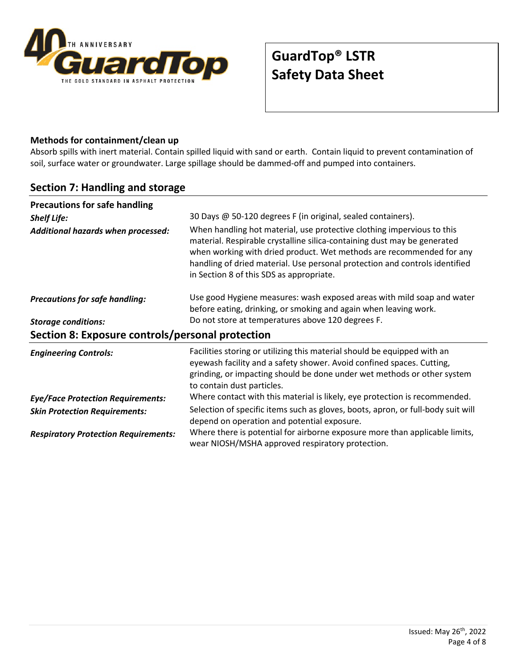

#### **Methods for containment/clean up**

Absorb spills with inert material. Contain spilled liquid with sand or earth. Contain liquid to prevent contamination of soil, surface water or groundwater. Large spillage should be dammed-off and pumped into containers.

## **Section 7: Handling and storage**

| <b>Precautions for safe handling</b>             |                                                                                                                                                                                                                                                                                                                                                       |  |  |
|--------------------------------------------------|-------------------------------------------------------------------------------------------------------------------------------------------------------------------------------------------------------------------------------------------------------------------------------------------------------------------------------------------------------|--|--|
| <b>Shelf Life:</b>                               | 30 Days @ 50-120 degrees F (in original, sealed containers).                                                                                                                                                                                                                                                                                          |  |  |
| Additional hazards when processed:               | When handling hot material, use protective clothing impervious to this<br>material. Respirable crystalline silica-containing dust may be generated<br>when working with dried product. Wet methods are recommended for any<br>handling of dried material. Use personal protection and controls identified<br>in Section 8 of this SDS as appropriate. |  |  |
| <b>Precautions for safe handling:</b>            | Use good Hygiene measures: wash exposed areas with mild soap and water<br>before eating, drinking, or smoking and again when leaving work.                                                                                                                                                                                                            |  |  |
| <b>Storage conditions:</b>                       | Do not store at temperatures above 120 degrees F.                                                                                                                                                                                                                                                                                                     |  |  |
| Section 8: Exposure controls/personal protection |                                                                                                                                                                                                                                                                                                                                                       |  |  |
| <b>Engineering Controls:</b>                     | Facilities storing or utilizing this material should be equipped with an<br>eyewash facility and a safety shower. Avoid confined spaces. Cutting,<br>grinding, or impacting should be done under wet methods or other system<br>to contain dust particles.                                                                                            |  |  |
| <b>Eye/Face Protection Requirements:</b>         | Where contact with this material is likely, eye protection is recommended.                                                                                                                                                                                                                                                                            |  |  |
| <b>Skin Protection Requirements:</b>             | Selection of specific items such as gloves, boots, apron, or full-body suit will<br>depend on operation and potential exposure.                                                                                                                                                                                                                       |  |  |
| <b>Respiratory Protection Requirements:</b>      | Where there is potential for airborne exposure more than applicable limits,<br>wear NIOSH/MSHA approved respiratory protection.                                                                                                                                                                                                                       |  |  |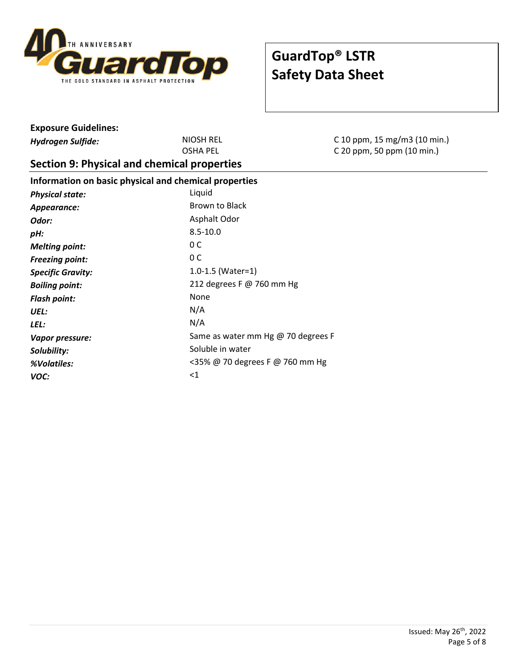

| <b>Exposure Guidelines:</b>                           |                                    |                              |  |
|-------------------------------------------------------|------------------------------------|------------------------------|--|
| <b>Hydrogen Sulfide:</b>                              | <b>NIOSH REL</b>                   | C 10 ppm, 15 mg/m3 (10 min.) |  |
|                                                       | <b>OSHA PEL</b>                    | C 20 ppm, 50 ppm (10 min.)   |  |
| Section 9: Physical and chemical properties           |                                    |                              |  |
| Information on basic physical and chemical properties |                                    |                              |  |
| <b>Physical state:</b>                                | Liquid                             |                              |  |
| Appearance:                                           | <b>Brown to Black</b>              |                              |  |
| Odor:                                                 | Asphalt Odor                       |                              |  |
| pH:                                                   | $8.5 - 10.0$                       |                              |  |
| <b>Melting point:</b>                                 | 0 <sup>C</sup>                     |                              |  |
| <b>Freezing point:</b>                                | 0 <sup>C</sup>                     |                              |  |
| <b>Specific Gravity:</b>                              | $1.0 - 1.5$ (Water=1)              |                              |  |
| <b>Boiling point:</b>                                 | 212 degrees F @ 760 mm Hg          |                              |  |
| <b>Flash point:</b>                                   | <b>None</b>                        |                              |  |
| UEL:                                                  | N/A                                |                              |  |
| LEL:                                                  | N/A                                |                              |  |
| Vapor pressure:                                       | Same as water mm Hg @ 70 degrees F |                              |  |
| Solubility:                                           | Soluble in water                   |                              |  |
| %Volatiles:                                           | <35% @ 70 degrees F @ 760 mm Hg    |                              |  |
| VOC:                                                  | <1                                 |                              |  |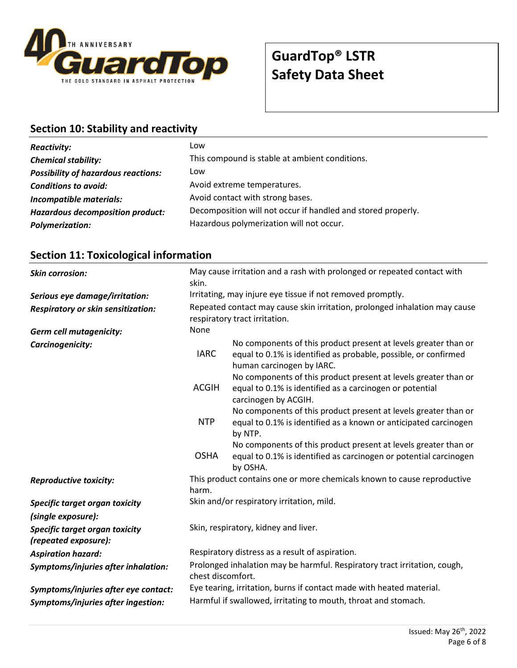

## **Section 10: Stability and reactivity**

| <b>Reactivity:</b>                         | Low                                                          |
|--------------------------------------------|--------------------------------------------------------------|
| <b>Chemical stability:</b>                 | This compound is stable at ambient conditions.               |
| <b>Possibility of hazardous reactions:</b> | Low                                                          |
| <b>Conditions to avoid:</b>                | Avoid extreme temperatures.                                  |
| Incompatible materials:                    | Avoid contact with strong bases.                             |
| Hazardous decomposition product:           | Decomposition will not occur if handled and stored properly. |
| <b>Polymerization:</b>                     | Hazardous polymerization will not occur.                     |

## **Section 11: Toxicological information**

| <b>Skin corrosion:</b>                                 | May cause irritation and a rash with prolonged or repeated contact with<br>skin.                            |                                                                                                                                                                 |
|--------------------------------------------------------|-------------------------------------------------------------------------------------------------------------|-----------------------------------------------------------------------------------------------------------------------------------------------------------------|
| Serious eye damage/irritation:                         | Irritating, may injure eye tissue if not removed promptly.                                                  |                                                                                                                                                                 |
| Respiratory or skin sensitization:                     | Repeated contact may cause skin irritation, prolonged inhalation may cause<br>respiratory tract irritation. |                                                                                                                                                                 |
| <b>Germ cell mutagenicity:</b>                         | None                                                                                                        |                                                                                                                                                                 |
| Carcinogenicity:                                       | <b>IARC</b>                                                                                                 | No components of this product present at levels greater than or<br>equal to 0.1% is identified as probable, possible, or confirmed<br>human carcinogen by IARC. |
|                                                        | <b>ACGIH</b>                                                                                                | No components of this product present at levels greater than or<br>equal to 0.1% is identified as a carcinogen or potential<br>carcinogen by ACGIH.             |
|                                                        | <b>NTP</b>                                                                                                  | No components of this product present at levels greater than or<br>equal to 0.1% is identified as a known or anticipated carcinogen<br>by NTP.                  |
|                                                        | <b>OSHA</b>                                                                                                 | No components of this product present at levels greater than or<br>equal to 0.1% is identified as carcinogen or potential carcinogen<br>by OSHA.                |
| <b>Reproductive toxicity:</b>                          | This product contains one or more chemicals known to cause reproductive<br>harm.                            |                                                                                                                                                                 |
| Specific target organ toxicity<br>(single exposure):   | Skin and/or respiratory irritation, mild.                                                                   |                                                                                                                                                                 |
| Specific target organ toxicity<br>(repeated exposure): | Skin, respiratory, kidney and liver.                                                                        |                                                                                                                                                                 |
| <b>Aspiration hazard:</b>                              | Respiratory distress as a result of aspiration.                                                             |                                                                                                                                                                 |
| Symptoms/injuries after inhalation:                    | Prolonged inhalation may be harmful. Respiratory tract irritation, cough,<br>chest discomfort.              |                                                                                                                                                                 |
| Symptoms/injuries after eye contact:                   | Eye tearing, irritation, burns if contact made with heated material.                                        |                                                                                                                                                                 |
| Symptoms/injuries after ingestion:                     | Harmful if swallowed, irritating to mouth, throat and stomach.                                              |                                                                                                                                                                 |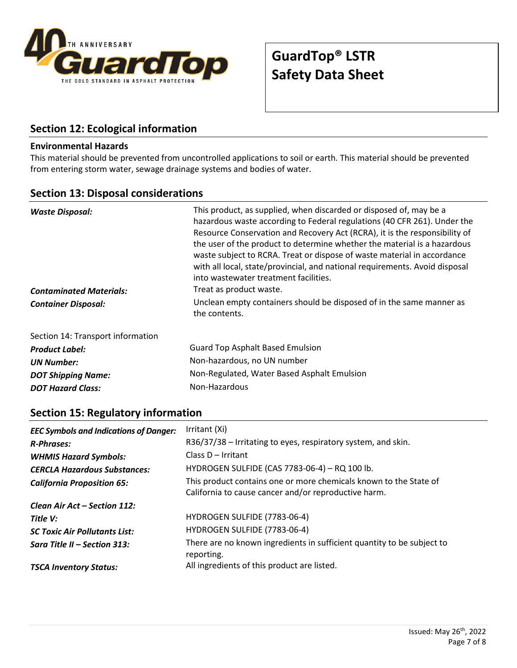

## **Section 12: Ecological information**

#### **Environmental Hazards**

This material should be prevented from uncontrolled applications to soil or earth. This material should be prevented from entering storm water, sewage drainage systems and bodies of water.

#### **Section 13: Disposal considerations**

| This product, as supplied, when discarded or disposed of, may be a<br><b>Waste Disposal:</b><br>hazardous waste according to Federal regulations (40 CFR 261). Under the<br>Resource Conservation and Recovery Act (RCRA), it is the responsibility of<br>the user of the product to determine whether the material is a hazardous<br>waste subject to RCRA. Treat or dispose of waste material in accordance<br>with all local, state/provincial, and national requirements. Avoid disposal<br>into wastewater treatment facilities. |                                                                                       |
|---------------------------------------------------------------------------------------------------------------------------------------------------------------------------------------------------------------------------------------------------------------------------------------------------------------------------------------------------------------------------------------------------------------------------------------------------------------------------------------------------------------------------------------|---------------------------------------------------------------------------------------|
| <b>Contaminated Materials:</b>                                                                                                                                                                                                                                                                                                                                                                                                                                                                                                        | Treat as product waste.                                                               |
| <b>Container Disposal:</b>                                                                                                                                                                                                                                                                                                                                                                                                                                                                                                            | Unclean empty containers should be disposed of in the same manner as<br>the contents. |
| Section 14: Transport information                                                                                                                                                                                                                                                                                                                                                                                                                                                                                                     |                                                                                       |
| <b>Product Label:</b>                                                                                                                                                                                                                                                                                                                                                                                                                                                                                                                 | <b>Guard Top Asphalt Based Emulsion</b>                                               |
| <b>UN Number:</b>                                                                                                                                                                                                                                                                                                                                                                                                                                                                                                                     | Non-hazardous, no UN number                                                           |
| <b>DOT Shipping Name:</b>                                                                                                                                                                                                                                                                                                                                                                                                                                                                                                             | Non-Regulated, Water Based Asphalt Emulsion                                           |
| <b>DOT Hazard Class:</b>                                                                                                                                                                                                                                                                                                                                                                                                                                                                                                              | Non-Hazardous                                                                         |

### **Section 15: Regulatory information**

| <b>EEC Symbols and Indications of Danger:</b> | Irritant (Xi)                                                                                                             |
|-----------------------------------------------|---------------------------------------------------------------------------------------------------------------------------|
| <b>R-Phrases:</b>                             | R36/37/38 - Irritating to eyes, respiratory system, and skin.                                                             |
| <b>WHMIS Hazard Symbols:</b>                  | Class D - Irritant                                                                                                        |
| <b>CERCLA Hazardous Substances:</b>           | HYDROGEN SULFIDE (CAS 7783-06-4) - RQ 100 lb.                                                                             |
| <b>California Proposition 65:</b>             | This product contains one or more chemicals known to the State of<br>California to cause cancer and/or reproductive harm. |
| Clean Air Act – Section 112:                  |                                                                                                                           |
| Title V:                                      | HYDROGEN SULFIDE (7783-06-4)                                                                                              |
| <b>SC Toxic Air Pollutants List:</b>          | HYDROGEN SULFIDE (7783-06-4)                                                                                              |
| Sara Title II – Section 313:                  | There are no known ingredients in sufficient quantity to be subject to<br>reporting.                                      |
| <b>TSCA Inventory Status:</b>                 | All ingredients of this product are listed.                                                                               |